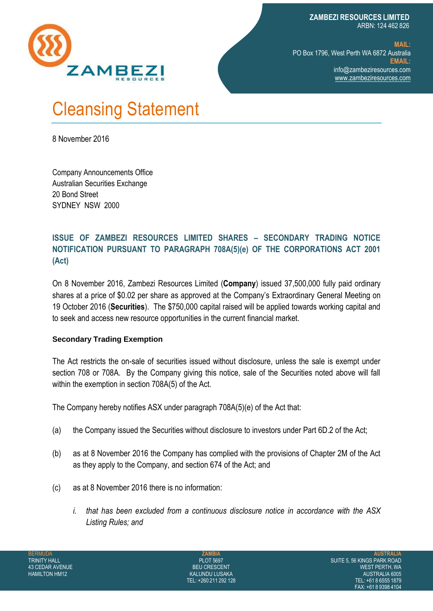**ZAMBEZI RESOURCES LIMITED**  ARBN: 124 462 826



**MAIL:** PO Box 1796, West Perth WA 6872 Australia **EMAIL:** [info@zambeziresources.com](mailto:INFO@ZAMBEZIRESOURCES.COM) [www.zambeziresources.com](http://www.zambeziresources.com/)

## Cleansing Statement

8 November 2016

Company Announcements Office Australian Securities Exchange 20 Bond Street SYDNEY NSW 2000

## **ISSUE OF ZAMBEZI RESOURCES LIMITED SHARES – SECONDARY TRADING NOTICE NOTIFICATION PURSUANT TO PARAGRAPH 708A(5)(e) OF THE CORPORATIONS ACT 2001 (Act)**

On 8 November 2016, Zambezi Resources Limited (**Company**) issued 37,500,000 fully paid ordinary shares at a price of \$0.02 per share as approved at the Company's Extraordinary General Meeting on 19 October 2016 (**Securities**). The \$750,000 capital raised will be applied towards working capital and to seek and access new resource opportunities in the current financial market.

## **Secondary Trading Exemption**

The Act restricts the on-sale of securities issued without disclosure, unless the sale is exempt under section 708 or 708A. By the Company giving this notice, sale of the Securities noted above will fall within the exemption in section 708A(5) of the Act.

The Company hereby notifies ASX under paragraph 708A(5)(e) of the Act that:

- (a) the Company issued the Securities without disclosure to investors under Part 6D.2 of the Act;
- (b) as at 8 November 2016 the Company has complied with the provisions of Chapter 2M of the Act as they apply to the Company, and section 674 of the Act; and
- (c) as at 8 November 2016 there is no information:
	- *i. that has been excluded from a continuous disclosure notice in accordance with the ASX Listing Rules; and*

**ZAMBIA** PLOT 5697 BEU CRESCENT KALUNDU LUSAKA TEL: +260 211 292 128